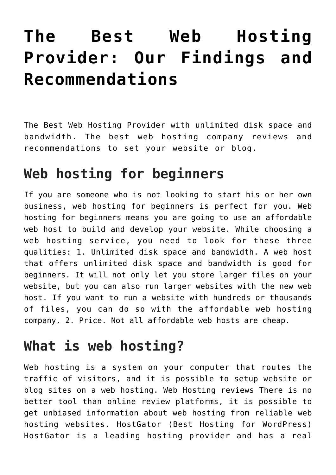# **[The Best Web Hosting](https://www.earnmoneyke.com/webhosting/the-best-web-hosting-provider-our-findings-and-recommendations/) [Provider: Our Findings and](https://www.earnmoneyke.com/webhosting/the-best-web-hosting-provider-our-findings-and-recommendations/) [Recommendations](https://www.earnmoneyke.com/webhosting/the-best-web-hosting-provider-our-findings-and-recommendations/)**

The Best Web Hosting Provider with unlimited disk space and bandwidth. The best web hosting company reviews and recommendations to set your website or blog.

#### **Web hosting for beginners**

If you are someone who is not looking to start his or her own business, web hosting for beginners is perfect for you. Web hosting for beginners means you are going to use an affordable web host to build and develop your website. While choosing a web hosting service, you need to look for these three qualities: 1. Unlimited disk space and bandwidth. A web host that offers unlimited disk space and bandwidth is good for beginners. It will not only let you store larger files on your website, but you can also run larger websites with the new web host. If you want to run a website with hundreds or thousands of files, you can do so with the affordable web hosting company. 2. Price. Not all affordable web hosts are cheap.

#### **What is web hosting?**

Web hosting is a system on your computer that routes the traffic of visitors, and it is possible to setup website or blog sites on a web hosting. Web Hosting reviews There is no better tool than online review platforms, it is possible to get unbiased information about web hosting from reliable web hosting websites. HostGator (Best Hosting for WordPress) HostGator is a leading hosting provider and has a real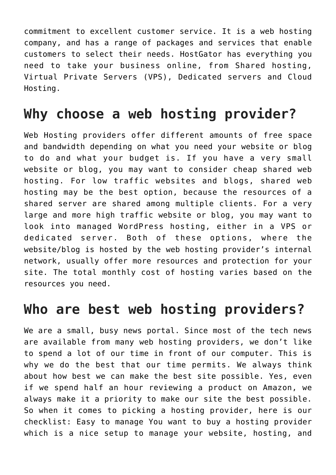commitment to excellent customer service. It is a web hosting company, and has a range of packages and services that enable customers to select their needs. HostGator has everything you need to take your business online, from Shared hosting, Virtual Private Servers (VPS), Dedicated servers and Cloud Hosting.

#### **Why choose a web hosting provider?**

Web Hosting providers offer different amounts of free space and bandwidth depending on what you need your website or blog to do and what your budget is. If you have a very small website or blog, you may want to consider cheap shared web hosting. For low traffic websites and blogs, shared web hosting may be the best option, because the resources of a shared server are shared among multiple clients. For a very large and more high traffic website or blog, you may want to look into managed WordPress hosting, either in a VPS or dedicated server. Both of these options, where the website/blog is hosted by the web hosting provider's internal network, usually offer more resources and protection for your site. The total monthly cost of hosting varies based on the resources you need.

#### **Who are best web hosting providers?**

We are a small, busy news portal. Since most of the tech news are available from many web hosting providers, we don't like to spend a lot of our time in front of our computer. This is why we do the best that our time permits. We always think about how best we can make the best site possible. Yes, even if we spend half an hour reviewing a product on Amazon, we always make it a priority to make our site the best possible. So when it comes to picking a hosting provider, here is our checklist: Easy to manage You want to buy a hosting provider which is a nice setup to manage your website, hosting, and